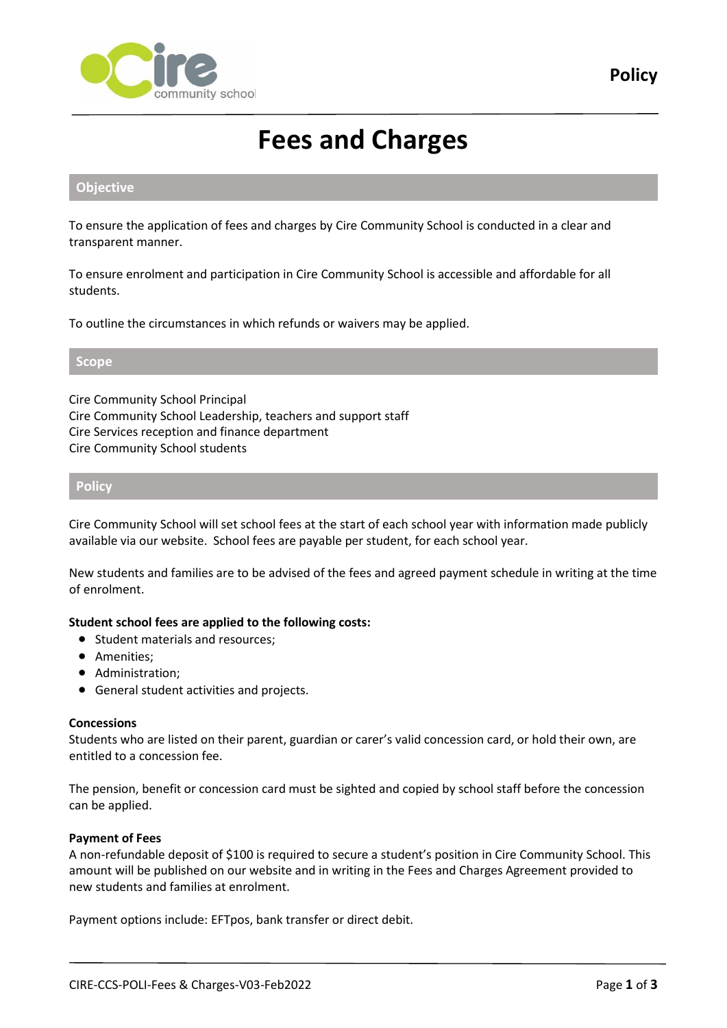

# **Fees and Charges**

### **Objective**

To ensure the application of fees and charges by Cire Community School is conducted in a clear and transparent manner.

To ensure enrolment and participation in Cire Community School is accessible and affordable for all students.

To outline the circumstances in which refunds or waivers may be applied.

#### **Scope**

Cire Community School Principal Cire Community School Leadership, teachers and support staff Cire Services reception and finance department Cire Community School students

#### **Policy**

Cire Community School will set school fees at the start of each school year with information made publicly available via our website. School fees are payable per student, for each school year.

New students and families are to be advised of the fees and agreed payment schedule in writing at the time of enrolment.

#### **Student school fees are applied to the following costs:**

- Student materials and resources:
- Amenities;
- Administration;
- General student activities and projects.

#### **Concessions**

Students who are listed on their parent, guardian or carer's valid concession card, or hold their own, are entitled to a concession fee.

The pension, benefit or concession card must be sighted and copied by school staff before the concession can be applied.

#### **Payment of Fees**

A non-refundable deposit of \$100 is required to secure a student's position in Cire Community School. This amount will be published on our website and in writing in the Fees and Charges Agreement provided to new students and families at enrolment.

Payment options include: EFTpos, bank transfer or direct debit.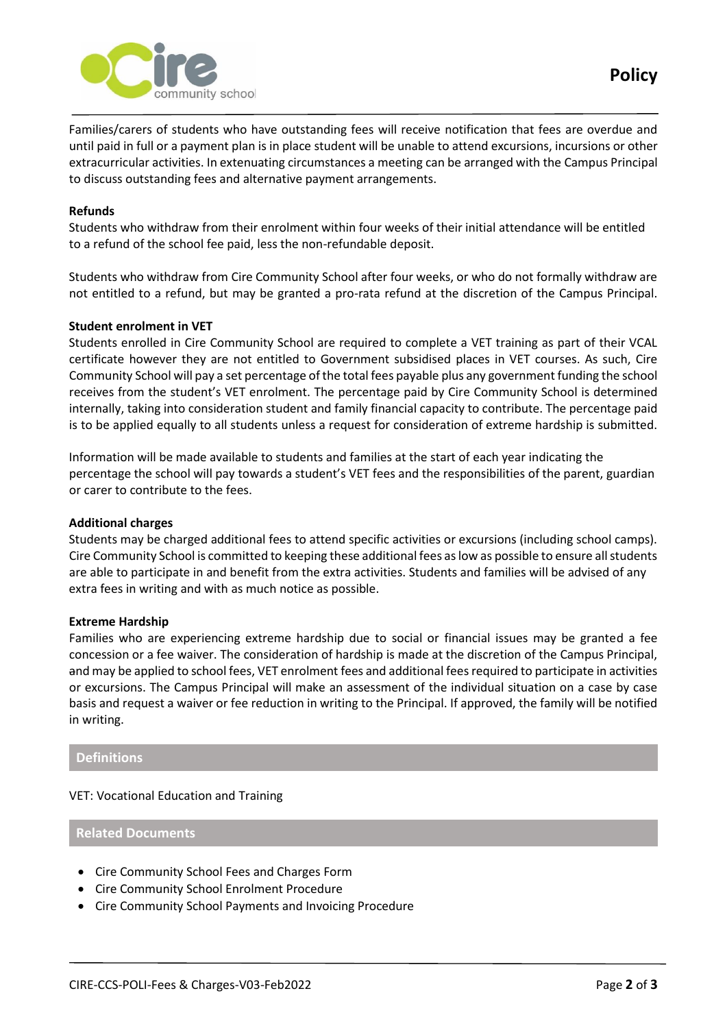

Families/carers of students who have outstanding fees will receive notification that fees are overdue and until paid in full or a payment plan is in place student will be unable to attend excursions, incursions or other extracurricular activities. In extenuating circumstances a meeting can be arranged with the Campus Principal to discuss outstanding fees and alternative payment arrangements.

#### **Refunds**

Students who withdraw from their enrolment within four weeks of their initial attendance will be entitled to a refund of the school fee paid, less the non-refundable deposit.

Students who withdraw from Cire Community School after four weeks, or who do not formally withdraw are not entitled to a refund, but may be granted a pro-rata refund at the discretion of the Campus Principal.

#### **Student enrolment in VET**

Students enrolled in Cire Community School are required to complete a VET training as part of their VCAL certificate however they are not entitled to Government subsidised places in VET courses. As such, Cire Community School will pay a set percentage of the total fees payable plus any government funding the school receives from the student's VET enrolment. The percentage paid by Cire Community School is determined internally, taking into consideration student and family financial capacity to contribute. The percentage paid is to be applied equally to all students unless a request for consideration of extreme hardship is submitted.

Information will be made available to students and families at the start of each year indicating the percentage the school will pay towards a student's VET fees and the responsibilities of the parent, guardian or carer to contribute to the fees.

#### **Additional charges**

Students may be charged additional fees to attend specific activities or excursions (including school camps). Cire Community School is committed to keeping these additional fees as low as possible to ensure all students are able to participate in and benefit from the extra activities. Students and families will be advised of any extra fees in writing and with as much notice as possible.

#### **Extreme Hardship**

Families who are experiencing extreme hardship due to social or financial issues may be granted a fee concession or a fee waiver. The consideration of hardship is made at the discretion of the Campus Principal, and may be applied to school fees, VET enrolment fees and additional fees required to participate in activities or excursions. The Campus Principal will make an assessment of the individual situation on a case by case basis and request a waiver or fee reduction in writing to the Principal. If approved, the family will be notified in writing.

#### **Definitions**

#### VET: Vocational Education and Training

#### **Related Documents**

- Cire Community School Fees and Charges Form
- Cire Community School Enrolment Procedure
- Cire Community School Payments and Invoicing Procedure